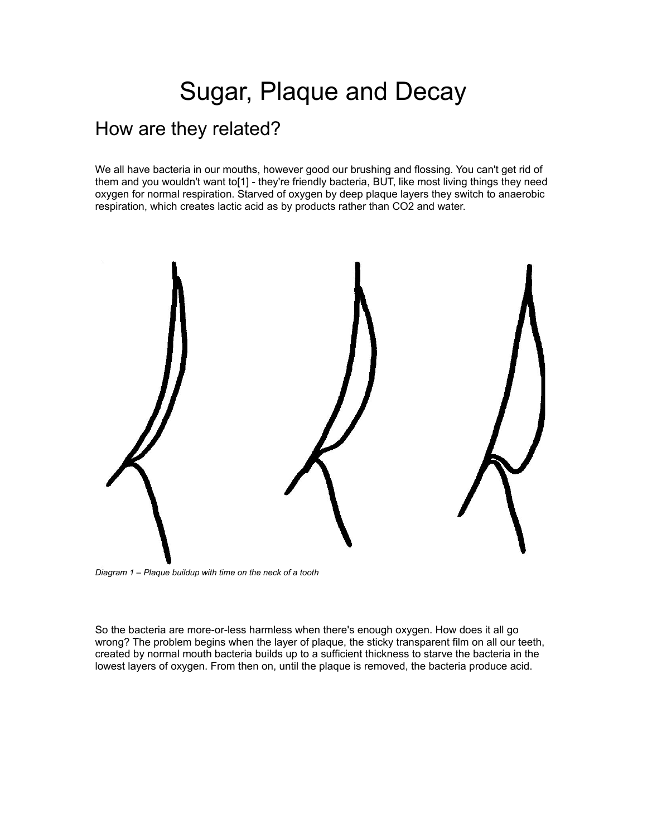## Sugar, Plaque and Decay

## How are they related?

We all have bacteria in our mouths, however good our brushing and flossing. You can't get rid of them and you wouldn't want to[1] - they're friendly bacteria, BUT, like most living things they need oxygen for normal respiration. Starved of oxygen by deep plaque layers they switch to anaerobic respiration, which creates lactic acid as by products rather than CO2 and water.



*Diagram 1 – Plaque buildup with time on the neck of a tooth*

So the bacteria are more-or-less harmless when there's enough oxygen. How does it all go wrong? The problem begins when the layer of plaque, the sticky transparent film on all our teeth, created by normal mouth bacteria builds up to a sufficient thickness to starve the bacteria in the lowest layers of oxygen. From then on, until the plaque is removed, the bacteria produce acid.